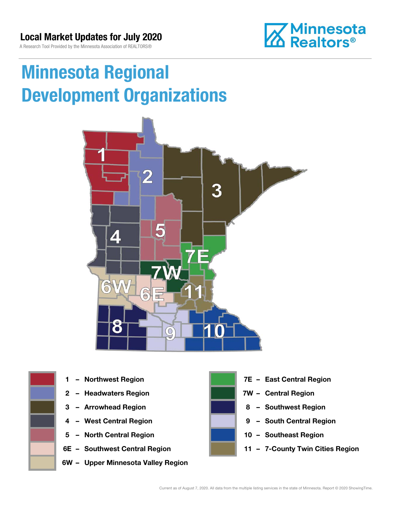### Local Market Updates for July 2020

A Research Tool Provided by the Minnesota Association of REALTORS®



# Minnesota Regional Development Organizations





- 
- 
- 
- 
- 5 North Central Region 10 Southeast Region
- 
- 6W Upper Minnesota Valley Region



- 1 Northwest Region **1 1999 12 Property Contral Region**
- 2 Headwaters Region **1988 7W Central Region**
- 3 Arrowhead Region **8 Southwest Region**
- 4 West Central Region **19 South Central Region** 
	-
- 6E Southwest Central Region 11 7-County Twin Cities Region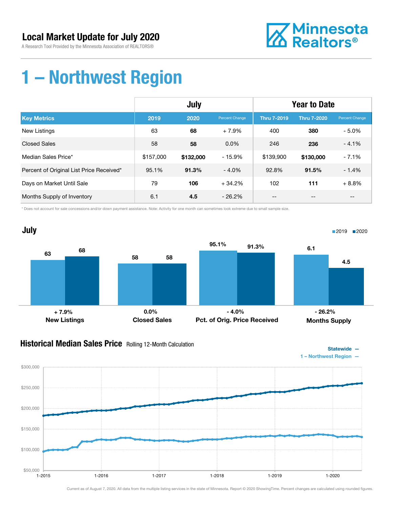

### 1 – Northwest Region

|                                          | July      |           |                | <b>Year to Date</b> |                    |                |
|------------------------------------------|-----------|-----------|----------------|---------------------|--------------------|----------------|
| <b>Key Metrics</b>                       | 2019      | 2020      | Percent Change | <b>Thru 7-2019</b>  | <b>Thru 7-2020</b> | Percent Change |
| New Listings                             | 63        | 68        | $+7.9%$        | 400                 | 380                | $-5.0\%$       |
| <b>Closed Sales</b>                      | 58        | 58        | $0.0\%$        | 246                 | 236                | $-4.1%$        |
| Median Sales Price*                      | \$157,000 | \$132,000 | $-15.9%$       | \$139,900           | \$130,000          | $-7.1%$        |
| Percent of Original List Price Received* | 95.1%     | 91.3%     | $-4.0%$        | 92.8%               | 91.5%              | $-1.4%$        |
| Days on Market Until Sale                | 79        | 106       | $+34.2%$       | 102                 | 111                | $+8.8%$        |
| Months Supply of Inventory               | 6.1       | 4.5       | $-26.2\%$      | --                  | --                 | --             |

\* Does not account for sale concessions and/or down payment assistance. Note: Activity for one month can sometimes look extreme due to small sample size.



#### **Historical Median Sales Price** Rolling 12-Month Calculation



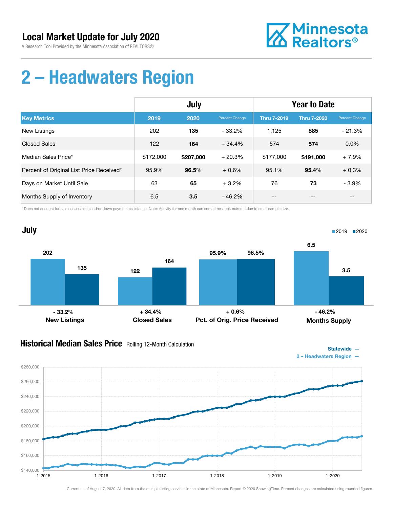

# 2 – Headwaters Region

|                                          | July      |           |                | <b>Year to Date</b> |                    |                       |
|------------------------------------------|-----------|-----------|----------------|---------------------|--------------------|-----------------------|
| <b>Key Metrics</b>                       | 2019      | 2020      | Percent Change | <b>Thru 7-2019</b>  | <b>Thru 7-2020</b> | <b>Percent Change</b> |
| <b>New Listings</b>                      | 202       | 135       | - 33.2%        | 1,125               | 885                | $-21.3%$              |
| <b>Closed Sales</b>                      | 122       | 164       | $+34.4%$       | 574                 | 574                | $0.0\%$               |
| Median Sales Price*                      | \$172,000 | \$207,000 | $+20.3%$       | \$177,000           | \$191,000          | $+7.9%$               |
| Percent of Original List Price Received* | 95.9%     | 96.5%     | $+0.6%$        | 95.1%               | 95.4%              | $+0.3%$               |
| Days on Market Until Sale                | 63        | 65        | $+3.2%$        | 76                  | 73                 | $-3.9%$               |
| Months Supply of Inventory               | 6.5       | 3.5       | $-46.2%$       | --                  | $- -$              | $- -$                 |

\* Does not account for sale concessions and/or down payment assistance. Note: Activity for one month can sometimes look extreme due to small sample size.



#### **Historical Median Sales Price** Rolling 12-Month Calculation





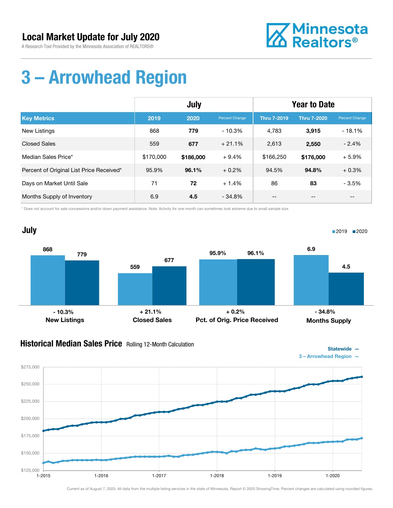

# 3 – Arrowhead Region

|                                          | July      |           |                | <b>Year to Date</b> |                    |                |
|------------------------------------------|-----------|-----------|----------------|---------------------|--------------------|----------------|
| <b>Key Metrics</b>                       | 2019      | 2020      | Percent Change | <b>Thru 7-2019</b>  | <b>Thru 7-2020</b> | Percent Change |
| <b>New Listings</b>                      | 868       | 779       | $-10.3%$       | 4,783               | 3,915              | $-18.1%$       |
| <b>Closed Sales</b>                      | 559       | 677       | $+21.1%$       | 2,613               | 2,550              | $-2.4%$        |
| Median Sales Price*                      | \$170,000 | \$186,000 | $+9.4%$        | \$166,250           | \$176,000          | $+5.9%$        |
| Percent of Original List Price Received* | 95.9%     | 96.1%     | $+0.2\%$       | 94.5%               | 94.8%              | $+0.3%$        |
| Days on Market Until Sale                | 71        | 72        | $+1.4%$        | 86                  | 83                 | $-3.5%$        |
| Months Supply of Inventory               | 6.9       | 4.5       | $-34.8%$       | --                  | $- -$              | $- -$          |

\* Does not account for sale concessions and/or down payment assistance. Note: Activity for one month can sometimes look extreme due to small sample size.



#### **Historical Median Sales Price** Rolling 12-Month Calculation



3 – Arrowhead Region —

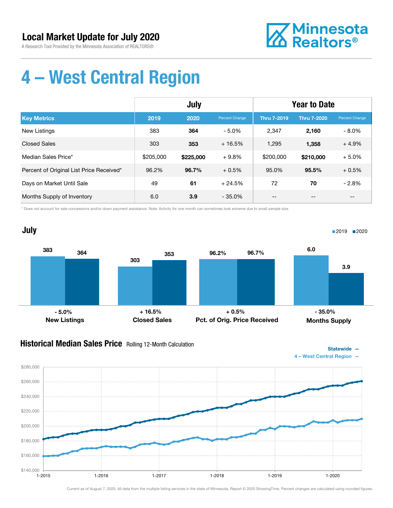

# 4 – West Central Region

|                                          | July      |           |                | <b>Year to Date</b> |                    |                |
|------------------------------------------|-----------|-----------|----------------|---------------------|--------------------|----------------|
| <b>Key Metrics</b>                       | 2019      | 2020      | Percent Change | <b>Thru 7-2019</b>  | <b>Thru 7-2020</b> | Percent Change |
| <b>New Listings</b>                      | 383       | 364       | - 5.0%         | 2.347               | 2,160              | $-8.0\%$       |
| <b>Closed Sales</b>                      | 303       | 353       | $+16.5%$       | 1.295               | 1,358              | $+4.9%$        |
| Median Sales Price*                      | \$205,000 | \$225,000 | $+9.8%$        | \$200,000           | \$210,000          | $+5.0%$        |
| Percent of Original List Price Received* | 96.2%     | 96.7%     | $+0.5%$        | 95.0%               | 95.5%              | $+0.5%$        |
| Days on Market Until Sale                | 49        | 61        | $+24.5%$       | 72                  | 70                 | $-2.8%$        |
| Months Supply of Inventory               | 6.0       | 3.9       | $-35.0\%$      | --                  | --                 | $- -$          |

\* Does not account for sale concessions and/or down payment assistance. Note: Activity for one month can sometimes look extreme due to small sample size.



#### **Historical Median Sales Price** Rolling 12-Month Calculation



4 – West Central Region —

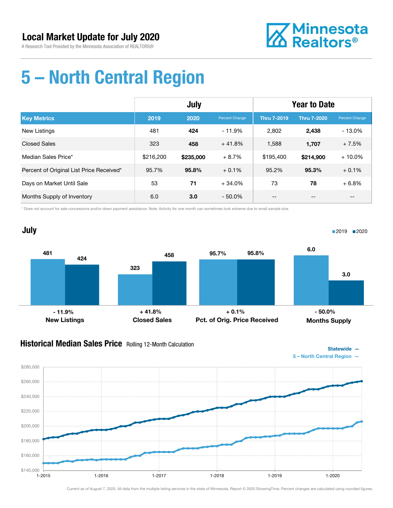

### 5 – North Central Region

|                                          | July      |           |                | <b>Year to Date</b> |                    |                       |
|------------------------------------------|-----------|-----------|----------------|---------------------|--------------------|-----------------------|
| <b>Key Metrics</b>                       | 2019      | 2020      | Percent Change | <b>Thru 7-2019</b>  | <b>Thru 7-2020</b> | <b>Percent Change</b> |
| <b>New Listings</b>                      | 481       | 424       | $-11.9%$       | 2.802               | 2,438              | $-13.0%$              |
| <b>Closed Sales</b>                      | 323       | 458       | $+41.8%$       | 1,588               | 1,707              | $+7.5%$               |
| Median Sales Price*                      | \$216,200 | \$235,000 | $+8.7%$        | \$195,400           | \$214,900          | $+10.0\%$             |
| Percent of Original List Price Received* | 95.7%     | 95.8%     | $+0.1%$        | 95.2%               | 95.3%              | $+0.1%$               |
| Days on Market Until Sale                | 53        | 71        | $+34.0%$       | 73                  | 78                 | $+6.8%$               |
| Months Supply of Inventory               | 6.0       | 3.0       | $-50.0\%$      | --                  | --                 | --                    |

\* Does not account for sale concessions and/or down payment assistance. Note: Activity for one month can sometimes look extreme due to small sample size.



#### **Historical Median Sales Price** Rolling 12-Month Calculation





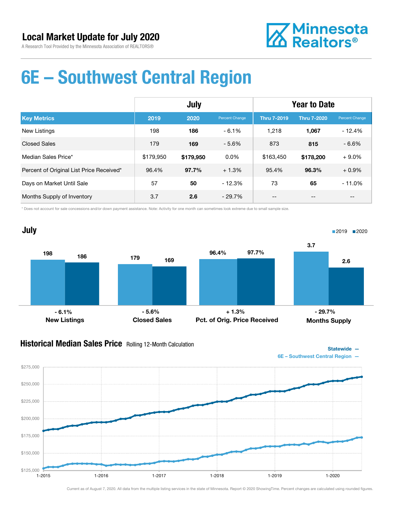

### 6E – Southwest Central Region

|                                          | July      |           |                | <b>Year to Date</b> |                    |                |
|------------------------------------------|-----------|-----------|----------------|---------------------|--------------------|----------------|
| <b>Key Metrics</b>                       | 2019      | 2020      | Percent Change | <b>Thru 7-2019</b>  | <b>Thru 7-2020</b> | Percent Change |
| New Listings                             | 198       | 186       | $-6.1\%$       | 1.218               | 1,067              | $-12.4%$       |
| <b>Closed Sales</b>                      | 179       | 169       | $-5.6%$        | 873                 | 815                | $-6.6%$        |
| Median Sales Price*                      | \$179.950 | \$179,950 | $0.0\%$        | \$163,450           | \$178,200          | $+9.0\%$       |
| Percent of Original List Price Received* | 96.4%     | 97.7%     | $+1.3%$        | 95.4%               | 96.3%              | $+0.9%$        |
| Days on Market Until Sale                | 57        | 50        | $-12.3%$       | 73                  | 65                 | $-11.0%$       |
| Months Supply of Inventory               | 3.7       | 2.6       | $-29.7%$       | --                  | --                 | $- -$          |

\* Does not account for sale concessions and/or down payment assistance. Note: Activity for one month can sometimes look extreme due to small sample size.



#### **Historical Median Sales Price** Rolling 12-Month Calculation



6E – Southwest Central Region —

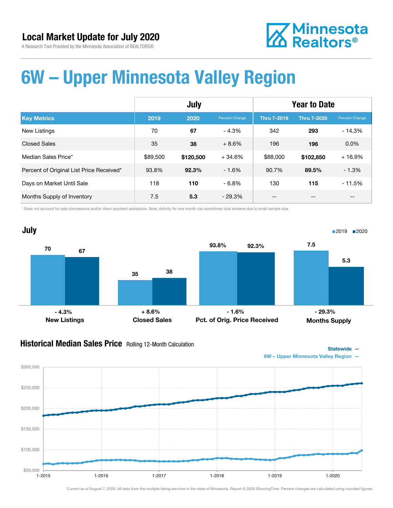

### 6W – Upper Minnesota Valley Region

|                                          | July     |           |                | <b>Year to Date</b> |                    |                |
|------------------------------------------|----------|-----------|----------------|---------------------|--------------------|----------------|
| <b>Key Metrics</b>                       | 2019     | 2020      | Percent Change | <b>Thru 7-2019</b>  | <b>Thru 7-2020</b> | Percent Change |
| New Listings                             | 70       | 67        | $-4.3%$        | 342                 | 293                | $-14.3%$       |
| <b>Closed Sales</b>                      | 35       | 38        | $+8.6%$        | 196                 | 196                | 0.0%           |
| Median Sales Price*                      | \$89,500 | \$120,500 | $+34.6%$       | \$88,000            | \$102,850          | $+16.9%$       |
| Percent of Original List Price Received* | 93.8%    | 92.3%     | $-1.6%$        | 90.7%               | 89.5%              | $-1.3%$        |
| Days on Market Until Sale                | 118      | 110       | $-6.8%$        | 130                 | 115                | $-11.5%$       |
| Months Supply of Inventory               | 7.5      | 5.3       | $-29.3\%$      | --                  | --                 | --             |

\* Does not account for sale concessions and/or down payment assistance. Note: Activity for one month can sometimes look extreme due to small sample size.



#### Historical Median Sales Price Rolling 12-Month Calculation



6W – Upper Minnesota Valley Region —

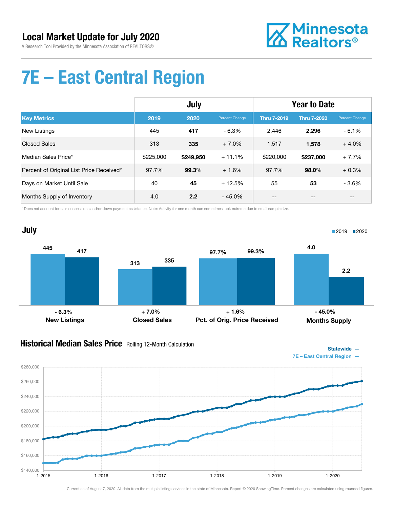

### 7E – East Central Region

|                                          | July      |           |                | <b>Year to Date</b> |                    |                |
|------------------------------------------|-----------|-----------|----------------|---------------------|--------------------|----------------|
| <b>Key Metrics</b>                       | 2019      | 2020      | Percent Change | <b>Thru 7-2019</b>  | <b>Thru 7-2020</b> | Percent Change |
| New Listings                             | 445       | 417       | - 6.3%         | 2,446               | 2,296              | $-6.1%$        |
| <b>Closed Sales</b>                      | 313       | 335       | $+7.0%$        | 1.517               | 1.578              | $+4.0%$        |
| Median Sales Price*                      | \$225,000 | \$249,950 | $+11.1%$       | \$220,000           | \$237,000          | $+7.7%$        |
| Percent of Original List Price Received* | 97.7%     | 99.3%     | $+1.6%$        | 97.7%               | 98.0%              | $+0.3%$        |
| Days on Market Until Sale                | 40        | 45        | $+12.5%$       | 55                  | 53                 | $-3.6%$        |
| Months Supply of Inventory               | 4.0       | 2.2       | $-45.0\%$      | --                  | --                 | $- -$          |

\* Does not account for sale concessions and/or down payment assistance. Note: Activity for one month can sometimes look extreme due to small sample size.



#### **Historical Median Sales Price** Rolling 12-Month Calculation



7E – East Central Region —

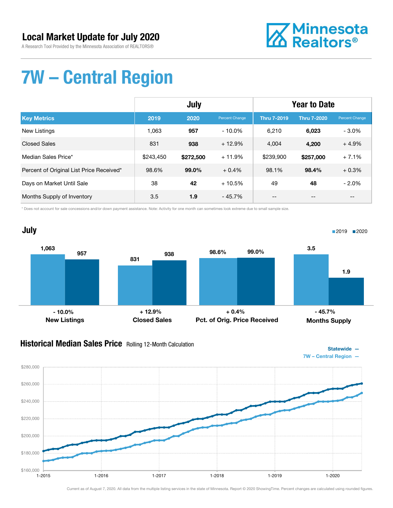

# 7W – Central Region

|                                          | July      |           |                | <b>Year to Date</b> |                    |                |
|------------------------------------------|-----------|-----------|----------------|---------------------|--------------------|----------------|
| <b>Key Metrics</b>                       | 2019      | 2020      | Percent Change | <b>Thru 7-2019</b>  | <b>Thru 7-2020</b> | Percent Change |
| <b>New Listings</b>                      | 1.063     | 957       | $-10.0\%$      | 6,210               | 6,023              | $-3.0\%$       |
| <b>Closed Sales</b>                      | 831       | 938       | $+12.9%$       | 4.004               | 4,200              | $+4.9%$        |
| Median Sales Price*                      | \$243,450 | \$272,500 | $+11.9%$       | \$239,900           | \$257,000          | $+7.1%$        |
| Percent of Original List Price Received* | 98.6%     | 99.0%     | $+0.4%$        | 98.1%               | 98.4%              | $+0.3%$        |
| Days on Market Until Sale                | 38        | 42        | $+10.5%$       | 49                  | 48                 | $-2.0%$        |
| Months Supply of Inventory               | 3.5       | 1.9       | $-45.7\%$      | --                  | $- -$              | $- -$          |

\* Does not account for sale concessions and/or down payment assistance. Note: Activity for one month can sometimes look extreme due to small sample size.



#### **Historical Median Sales Price** Rolling 12-Month Calculation



7W – Central Region —

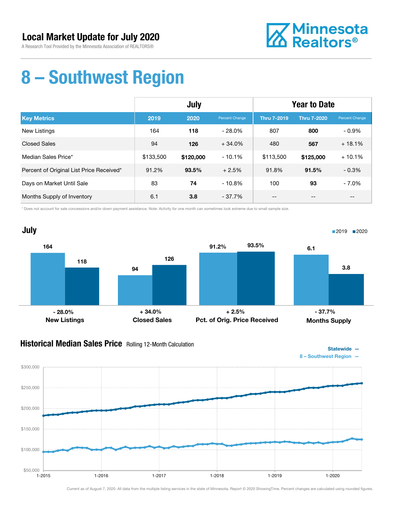

### 8 – Southwest Region

|                                          | July      |           |                | <b>Year to Date</b> |                    |                |
|------------------------------------------|-----------|-----------|----------------|---------------------|--------------------|----------------|
| <b>Key Metrics</b>                       | 2019      | 2020      | Percent Change | <b>Thru 7-2019</b>  | <b>Thru 7-2020</b> | Percent Change |
| New Listings                             | 164       | 118       | $-28.0\%$      | 807                 | 800                | $-0.9\%$       |
| <b>Closed Sales</b>                      | 94        | 126       | $+34.0%$       | 480                 | 567                | $+18.1%$       |
| Median Sales Price*                      | \$133,500 | \$120,000 | $-10.1%$       | \$113,500           | \$125,000          | $+10.1%$       |
| Percent of Original List Price Received* | 91.2%     | 93.5%     | $+2.5%$        | 91.8%               | 91.5%              | $-0.3%$        |
| Days on Market Until Sale                | 83        | 74        | $-10.8%$       | 100                 | 93                 | $-7.0\%$       |
| Months Supply of Inventory               | 6.1       | 3.8       | $-37.7\%$      | --                  | --                 | $- -$          |

\* Does not account for sale concessions and/or down payment assistance. Note: Activity for one month can sometimes look extreme due to small sample size.



#### **Historical Median Sales Price** Rolling 12-Month Calculation





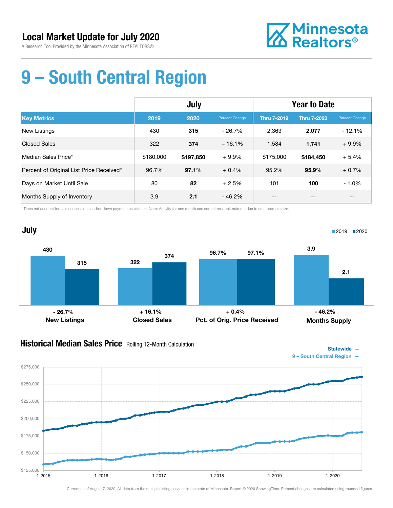

# 9 – South Central Region

|                                          | July      |           |                | <b>Year to Date</b> |                    |                |
|------------------------------------------|-----------|-----------|----------------|---------------------|--------------------|----------------|
| <b>Key Metrics</b>                       | 2019      | 2020      | Percent Change | <b>Thru 7-2019</b>  | <b>Thru 7-2020</b> | Percent Change |
| New Listings                             | 430       | 315       | $-26.7%$       | 2,363               | 2,077              | $-12.1%$       |
| <b>Closed Sales</b>                      | 322       | 374       | $+16.1%$       | 1.584               | 1,741              | $+9.9%$        |
| Median Sales Price*                      | \$180,000 | \$197,850 | $+9.9%$        | \$175,000           | \$184,450          | $+5.4%$        |
| Percent of Original List Price Received* | 96.7%     | 97.1%     | $+0.4%$        | 95.2%               | 95.9%              | $+0.7%$        |
| Days on Market Until Sale                | 80        | 82        | $+2.5%$        | 101                 | 100                | $-1.0\%$       |
| Months Supply of Inventory               | 3.9       | 2.1       | $-46.2%$       | --                  | --                 | --             |

\* Does not account for sale concessions and/or down payment assistance. Note: Activity for one month can sometimes look extreme due to small sample size.



#### **Historical Median Sales Price** Rolling 12-Month Calculation



9 – South Central Region —

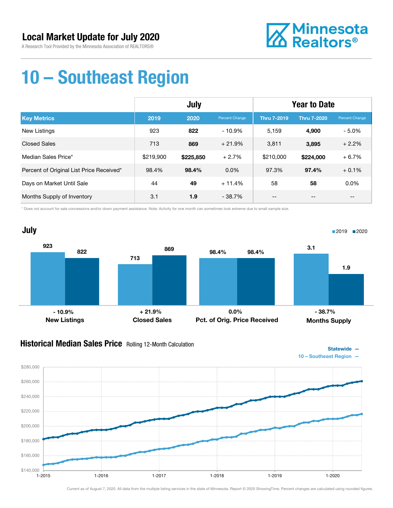

### 10 – Southeast Region

|                                          | July      |           |                | <b>Year to Date</b> |                    |                |
|------------------------------------------|-----------|-----------|----------------|---------------------|--------------------|----------------|
| <b>Key Metrics</b>                       | 2019      | 2020      | Percent Change | <b>Thru 7-2019</b>  | <b>Thru 7-2020</b> | Percent Change |
| New Listings                             | 923       | 822       | $-10.9\%$      | 5.159               | 4,900              | $-5.0\%$       |
| <b>Closed Sales</b>                      | 713       | 869       | $+21.9%$       | 3.811               | 3,895              | $+2.2%$        |
| Median Sales Price*                      | \$219,900 | \$225,850 | $+2.7%$        | \$210,000           | \$224,000          | $+6.7%$        |
| Percent of Original List Price Received* | 98.4%     | 98.4%     | $0.0\%$        | 97.3%               | 97.4%              | $+0.1%$        |
| Days on Market Until Sale                | 44        | 49        | $+11.4%$       | 58                  | 58                 | 0.0%           |
| Months Supply of Inventory               | 3.1       | 1.9       | $-38.7\%$      | --                  | --                 | $-$            |

\* Does not account for sale concessions and/or down payment assistance. Note: Activity for one month can sometimes look extreme due to small sample size.



#### **Historical Median Sales Price** Rolling 12-Month Calculation



10 – Southeast Region —